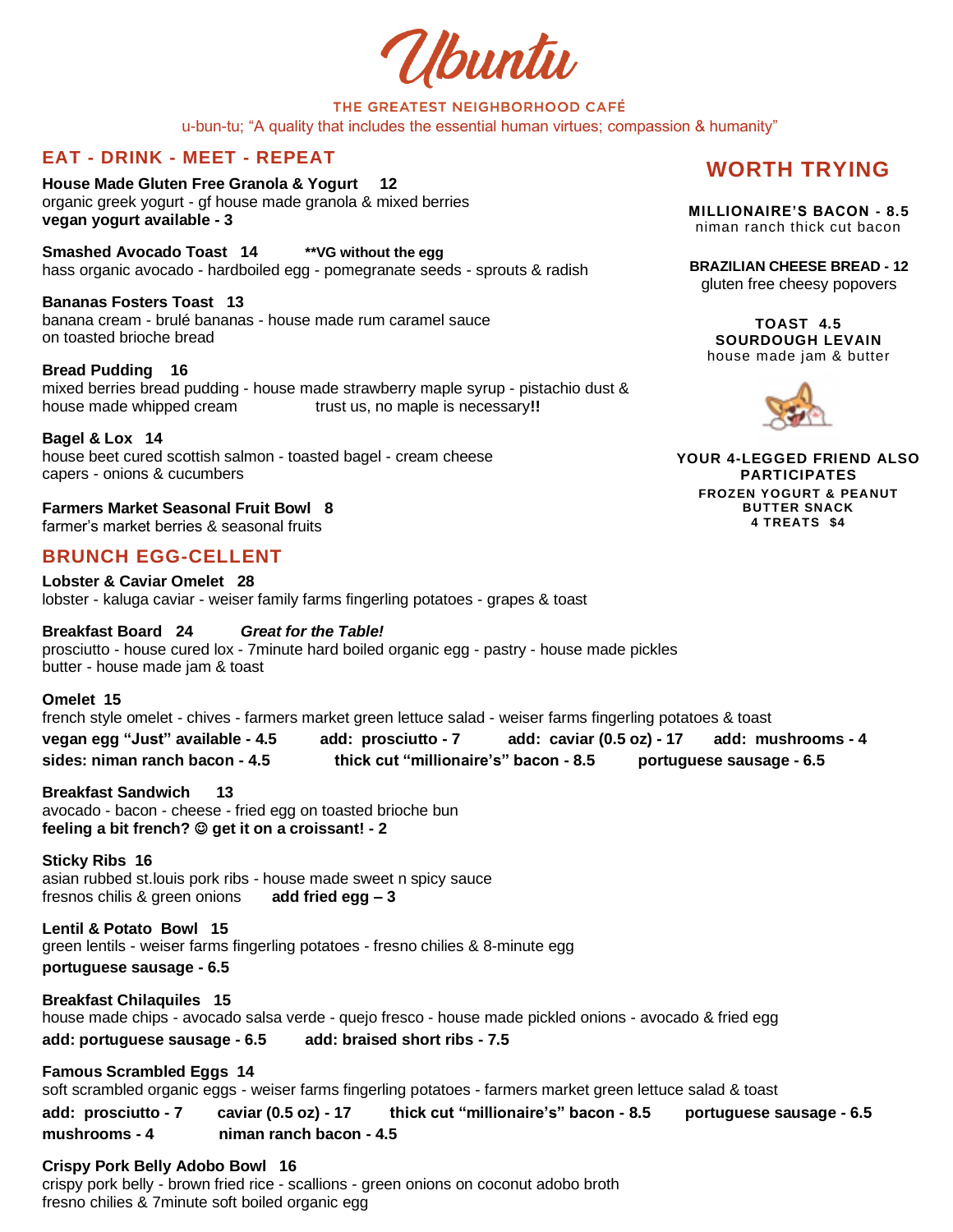Ubuntu

# THE GREATEST NEIGHBORHOOD CAFÉ

u-bun-tu; "A quality that includes the essential human virtues; compassion & humanity"

## **EAT - DRINK - MEET - REPEAT**

**House Made Gluten Free Granola & Yogurt 12** organic greek yogurt - gf house made granola & mixed berries **vegan yogurt available - 3**

**Smashed Avocado Toast 14 \*\*VG without the egg** hass organic avocado - hardboiled egg - pomegranate seeds - sprouts & radish

**Bananas Fosters Toast 13** banana cream - brulé bananas - house made rum caramel sauce on toasted brioche bread

**Bread Pudding 16** mixed berries bread pudding - house made strawberry maple syrup - pistachio dust & house made whipped cream trust us, no maple is necessary!!

**Bagel & Lox 14** house beet cured scottish salmon - toasted bagel - cream cheese capers - onions & cucumbers

**Farmers Market Seasonal Fruit Bowl 8** farmer's market berries & seasonal fruits

## **BRUNCH EGG-CELLENT**

**Lobster & Caviar Omelet 28** lobster - kaluga caviar - weiser family farms fingerling potatoes - grapes & toast

**Breakfast Board 24** *Great for the Table!*  prosciutto - house cured lox - 7minute hard boiled organic egg - pastry - house made pickles butter - house made jam & toast

**Omelet 15** french style omelet - chives - farmers market green lettuce salad - weiser farms fingerling potatoes & toast **vegan egg "Just" available - 4.5 add: prosciutto - 7 add: caviar (0.5 oz) - 17 add: mushrooms - 4 sides: niman ranch bacon - 4.5 thick cut "millionaire's" bacon - 8.5 portuguese sausage - 6.5** 

**Breakfast Sandwich 13** avocado - bacon - cheese - fried egg on toasted brioche bun **feeling a bit french?** ☺ **get it on a croissant! - 2**

**Sticky Ribs 16** asian rubbed st.louis pork ribs - house made sweet n spicy sauce fresnos chilis & green onions **add fried egg – 3**

**Lentil & Potato Bowl 15** green lentils - weiser farms fingerling potatoes - fresno chilies & 8-minute egg **portuguese sausage - 6.5** 

**Breakfast Chilaquiles 15**  house made chips - avocado salsa verde - quejo fresco - house made pickled onions - avocado & fried egg **add: portuguese sausage - 6.5 add: braised short ribs - 7.5**

**Famous Scrambled Eggs 14** soft scrambled organic eggs - weiser farms fingerling potatoes - farmers market green lettuce salad & toast **add: prosciutto - 7 caviar (0.5 oz) - 17 thick cut "millionaire's" bacon - 8.5 portuguese sausage - 6.5 mushrooms - 4 niman ranch bacon - 4.5** 

#### **Crispy Pork Belly Adobo Bowl 16**

crispy pork belly - brown fried rice - scallions - green onions on coconut adobo broth fresno chilies & 7minute soft boiled organic egg

## **WORTH TRYING**

**MILLIONAIRE'S BACON - 8.5** niman ranch thick cut bacon

**BRAZILIAN CHEESE BREAD - 12** gluten free cheesy popovers

**TOAST 4.5 SOURDOUGH LEVAIN** house made jam & butter



**YOUR 4-LEGGED FRIEND ALSO PARTICIPATES FROZEN YOGURT & PEANUT BUTTER SNACK 4 TREATS \$4**